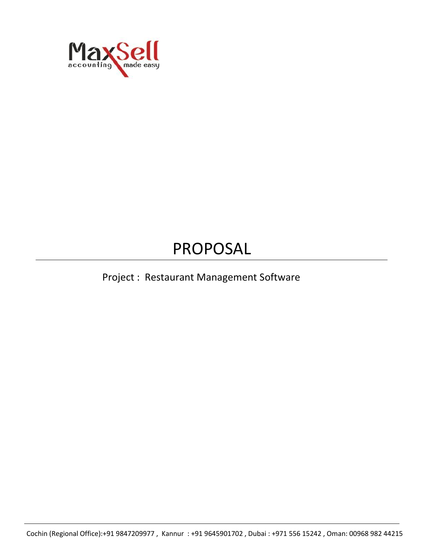

# PROPOSAL

# Project : Restaurant Management Software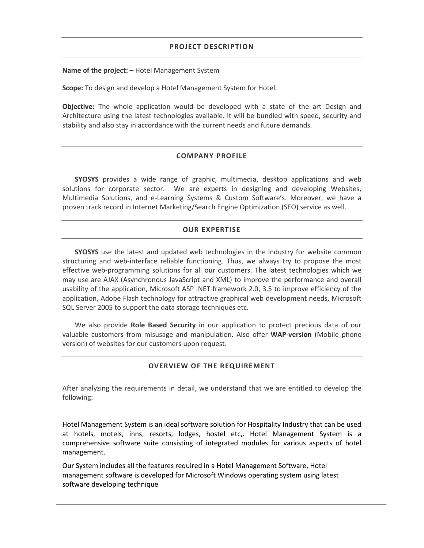#### **PROJECT DESCRIPTION**

**Name of the project: –** Hotel Management System

**Scope:** To design and develop a Hotel Management System for Hotel.

**Objective:** The whole application would be developed with a state of the art Design and Architecture using the latest technologies available. It will be bundled with speed, security and stability and also stay in accordance with the current needs and future demands.

#### **COMPANY PROFILE**

**SYOSYS** provides a wide range of graphic, multimedia, desktop applications and web solutions for corporate sector. We are experts in designing and developing Websites, Multimedia Solutions, and e-Learning Systems & Custom Software's. Moreover, we have a proven track record in Internet Marketing/Search Engine Optimization (SEO) service as well.

#### **OUR EXPERTISE**

**SYOSYS** use the latest and updated web technologies in the industry for website common structuring and web-interface reliable functioning. Thus, we always try to propose the most effective web-programming solutions for all our customers. The latest technologies which we may use are AJAX (Asynchronous JavaScript and XML) to improve the performance and overall usability of the application, Microsoft ASP .NET framework 2.0, 3.5 to improve efficiency of the application, Adobe Flash technology for attractive graphical web development needs, Microsoft SQL Server 2005 to support the data storage techniques etc.

We also provide **Role Based Security** in our application to protect precious data of our valuable customers from misusage and manipulation. Also offer **WAP-version** (Mobile phone version) of websites for our customers upon request.

#### **OVERVIEW OF THE REQUIREMENT**

After analyzing the requirements in detail, we understand that we are entitled to develop the following:

Hotel Management System is an ideal software solution for Hospitality Industry that can be used at hotels, motels, inns, resorts, lodges, hostel etc,. Hotel Management System is a comprehensive software suite consisting of integrated modules for various aspects of hotel management.

Our System includes all the features required in a Hotel Management Software, Hotel management software is developed for Microsoft Windows operating system using latest software developing technique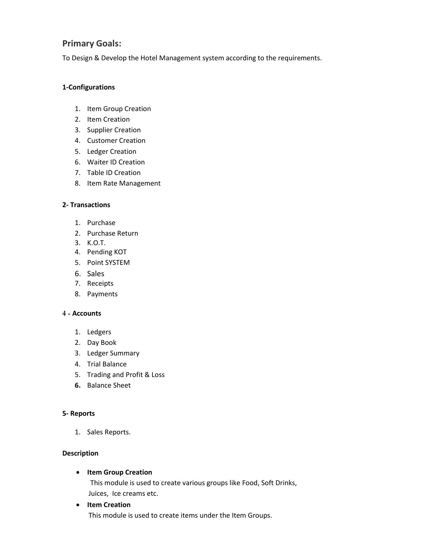## **Primary Goals:**

To Design & Develop the Hotel Management system according to the requirements.

#### **1-Configurations**

- 1. Item Group Creation
- 2. Item Creation
- 3. Supplier Creation
- 4. Customer Creation
- 5. Ledger Creation
- 6. Waiter ID Creation
- 7. Table ID Creation
- 8. Item Rate Management

#### **2- Transactions**

- 1. Purchase
- 2. Purchase Return
- 3. K.O.T.
- 4. Pending KOT
- 5. Point SYSTEM
- 6. Sales
- 7. Receipts
- 8. Payments

#### **4 - Accounts**

- 1. Ledgers
- 2. Day Book
- 3. Ledger Summary
- 4. Trial Balance
- 5. Trading and Profit & Loss
- **6.** Balance Sheet

#### **5- Reports**

1. Sales Reports.

#### **Description**

**Item Group Creation**

This module is used to create various groups like Food, Soft Drinks, Juices, Ice creams etc.

**Item Creation** 

This module is used to create items under the Item Groups.